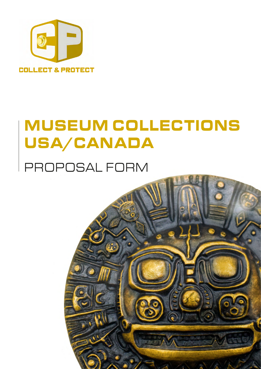

# MUSEUM COLLECTIONS USA/CANADA

## PROPOSAL FORM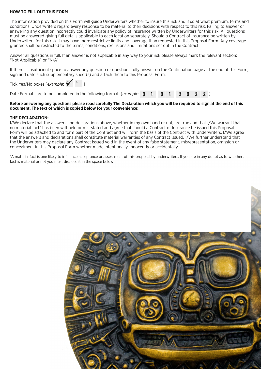#### **HOW TO FILL OUT THIS FORM**

The information provided on this Form will guide Underwriters whether to insure this risk and if so at what premium, terms and conditions. Underwriters regard every response to be material to their decisions with respect to this risk. Failing to answer or answering any question incorrectly could invalidate any policy of insurance written by Underwriters for this risk. All questions must be answered giving full details applicable to each location separately. Should a Contract of Insurance be written by Underwriters for this risk it may have more restrictive limits and coverage than requested in this Proposal Form. Any coverage granted shall be restricted to the terms, conditions, exclusions and limitations set out in the Contract.

Answer all questions in full. If an answer is not applicable in any way to your risk please always mark the relevant section; "Not Applicable" or "N/A"

If there is insufficient space to answer any question or questions fully answer on the Continuation page at the end of this Form, sign and date such supplementary sheet(s) and attach them to this Proposal Form.

Tick Yes/No boxes [*example*:  $\mathbf{V} \quad \mathbf{N} \quad \mathbf{1}$ 

#### **Before answering any questions please read carefully The Declaration which you will be required to sign at the end of this document. The text of which is copied below for your convenience:**

#### **THE DECLARATION:**

I/We declare that the answers and declarations above, whether in my own hand or not, are true and that I/We warrant that no material fact\* has been withheld or mis-stated and agree that should a Contract of Insurance be issued this Proposal Form will be attached to and form part of the Contract and will form the basis of the Contract with Underwriters. I/We agree that the answers and declarations shall constitute material warranties of any Contract issued. I/We further understand that the Underwriters may declare any Contract issued void in the event of any false statement, misrepresentation, omission or concealment in this Proposal Form whether made intentionally, innocently or accidentally.

\*A material fact is one likely to influence acceptance or assessment of this proposal by underwriters. If you are in any doubt as to whether a fact is material or not you must disclose it in the space below

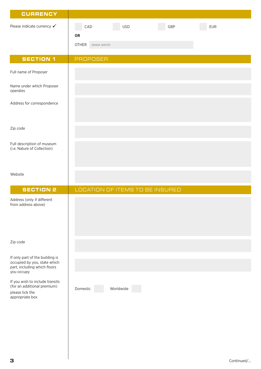| <b>CURRENCY</b>                                                                                               |                                                                                |
|---------------------------------------------------------------------------------------------------------------|--------------------------------------------------------------------------------|
| Please indicate currency $\checkmark$                                                                         | <b>USD</b><br>CAD<br>GBP<br><b>EUR</b><br>OR<br><b>OTHER</b><br>please specify |
| <b>SECTION 1</b>                                                                                              | <b>PROPOSER</b>                                                                |
| Full name of Proposer                                                                                         |                                                                                |
| Name under which Proposer<br>operates                                                                         |                                                                                |
| Address for correspondence                                                                                    |                                                                                |
| Zip code                                                                                                      |                                                                                |
| Full description of museum<br>(i.e. Nature of Collection)                                                     |                                                                                |
| Website                                                                                                       |                                                                                |
| <b>SECTION 2</b>                                                                                              | LOCATION OF ITEMS TO BE INSURED                                                |
| Address (only if different<br>from address above)                                                             |                                                                                |
| Zip code                                                                                                      |                                                                                |
| If only part of the building is<br>occupied by you, state which<br>part, including which floors<br>you occupy |                                                                                |
| If you wish to include transits<br>(for an additional premium)<br>please tick the<br>appropriate box          | Domestic<br>Worldwide                                                          |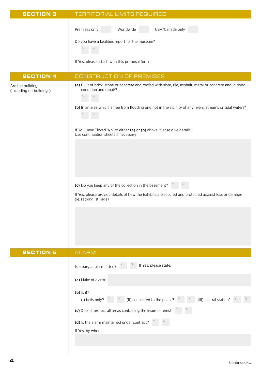| <b>SECTION 3</b>                              | TERRITORIAL LIMITS REQUIRED                                                                                                                                                                                                                                     |
|-----------------------------------------------|-----------------------------------------------------------------------------------------------------------------------------------------------------------------------------------------------------------------------------------------------------------------|
|                                               | USA/Canada only<br>Premises only<br>Worldwide<br>Do you have a facilities report for the museum?<br>If Yes, please attach with this proposal form                                                                                                               |
|                                               |                                                                                                                                                                                                                                                                 |
| <b>SECTION 4</b>                              | <b>CONSTRUCTION OF PREMISES</b>                                                                                                                                                                                                                                 |
| Are the buildings<br>(including outbuildings) | (a) Built of brick, stone or concrete and roofed with slate, tile, asphalt, metal or concrete and in good<br>condition and repair?<br>(b) In an area which is free from flooding and not in the vicinity of any rivers, streams or tidal waters?<br>$\mathbb N$ |
|                                               | If You Have Ticked 'No' to either (a) or (b) above, please give details:<br>Use continuation sheets if necessary                                                                                                                                                |
|                                               |                                                                                                                                                                                                                                                                 |
|                                               | (c) Do you keep any of the collection in the basement?<br>If Yes, please provide details of how the Exhibits are secured and protected against loss or damage<br>(ie. racking, stillage)                                                                        |
| <b>SECTION 5</b>                              | <b>ALARM</b>                                                                                                                                                                                                                                                    |
|                                               | If Yes, please state:<br>Is a burglar alarm fitted?                                                                                                                                                                                                             |
|                                               | (a) Make of alarm                                                                                                                                                                                                                                               |
|                                               | $(b)$ Is it?<br>$\mathbb{R}$ (ii) connected to the police? $\mathbb{R}$ $\mathbb{R}$ (iii) central station?<br>(i) bells only? $Y$<br>N<br>(c) Does it protect all areas containing the insured items?                                                          |
|                                               | (d) Is the alarm maintained under contract?<br>If Yes, by whom                                                                                                                                                                                                  |

 $\overline{\phantom{a}}$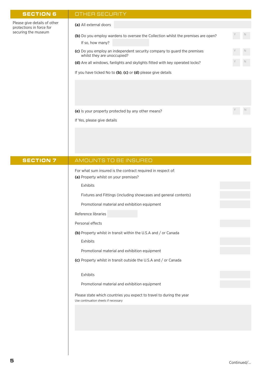#### SECTION 6 | OTHER SECURITY

| Please give details of other |
|------------------------------|
| protections in force for     |
| securing the museum          |

#### **(a)** All external doors

|                  | <b>(b)</b> Do you employ wardens to oversee the Collection whilst the premises are open? |  |
|------------------|------------------------------------------------------------------------------------------|--|
| If so, how many? |                                                                                          |  |

- (c) Do you employ an independent security company to guard the premises whilst they are unoccupied?
- (d) Are all windows, fanlights and skylights fitted with key operated locks?
- If you have ticked No to **(b)**, **(c)** or **(d)** please give details

(e) Is your property protected by any other means?

If Yes, please give details

SECTION 7 | AMOUNTS TO BE INSURED For what sum insured is the contract required in respect of: **(a)** Property whilst on your premises? Exhibits Fixtures and Fittings (including showcases and general contents) Promotional material and exhibition equipment Reference libraries Personal effects **(b)** Property whilst in transit within the U.S.A and / or Canada Exhibits Promotional material and exhibition equipment **(c)** Property whilst in transit outside the U.S.A and / or Canada Exhibits Promotional material and exhibition equipment Please state which countries you expect to travel to during the year Use continuation sheets if necessary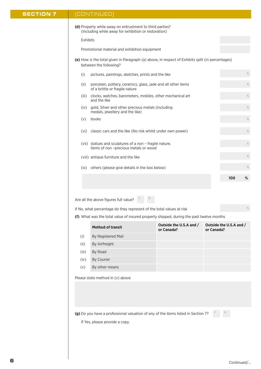#### SECTION 7 | (CONTINUED)

| (d) Property while away on entrustment to third parties? |  |
|----------------------------------------------------------|--|
| (Including while away for exhibition or restoration)     |  |

Exhibits

Promotional material and exhibition equipment

**(e)** How is the total given in Paragraph (a) above, in respect of Exhibits split (in percentages) between the following?

| (i)   | pictures, paintings, sketches, prints and the like                                              |     | %    |
|-------|-------------------------------------------------------------------------------------------------|-----|------|
| (ii)  | porcelain, pottery, ceramics, glass, jade and all other items<br>of a brittle or fragile nature |     | $\%$ |
| (iii) | clocks, watches, barometers, mobiles, other mechanical art<br>and the like                      |     | %    |
| (iv)  | gold, Silver and other precious metals (including<br>medals, jewellery and the like)            |     | %    |
| (v)   | books                                                                                           |     | %    |
| (vi)  | classic cars and the like (No risk whilst under own power)                                      |     | %    |
| (vii) | statues and sculptures of a non - fragile nature,<br>items of non-precious metals or wood       |     | %    |
|       | (viii) antique furniture and the like                                                           |     | $\%$ |
| (ix)  | others (please give details in the box below)                                                   |     | %    |
|       |                                                                                                 | 100 | %    |
|       |                                                                                                 |     |      |

Are all the above figures full value?  $Y = N$ 

If No, what percentage do they represent of the total values at risk

**(f)** What was the total value of insured property shipped, during the past twelve months

|       | <b>Method of transit</b> | Outside the U.S.A and /<br>or Canada? | Outside the U.S.A and /<br>or Canada? |
|-------|--------------------------|---------------------------------------|---------------------------------------|
| (i)   | By Registered Mail       |                                       |                                       |
| (ii)  | By Airfreight            |                                       |                                       |
| (iii) | By Road                  |                                       |                                       |
| (iv)  | By Courier               |                                       |                                       |
| (v)   | By other means           |                                       |                                       |

Please state method in (v) above

**(g)** Do you have a professional valuation of any of the items listed in Section 7?

If Yes, please provide a copy.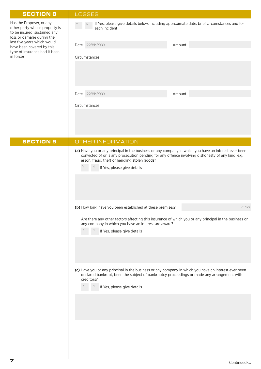#### SECTION 8 LOSSES

Circumstances

| Has the Proposer, or any<br>other party whose property is<br>to be insured, sustained any<br>loss or damage during the<br>last five years which would<br>have been covered by this<br>type of insurance had it been<br>in force? | Y -  | If Yes, please give details below, including approximate date, brief circumstances and for<br>N<br>each incident |        |  |
|----------------------------------------------------------------------------------------------------------------------------------------------------------------------------------------------------------------------------------|------|------------------------------------------------------------------------------------------------------------------|--------|--|
|                                                                                                                                                                                                                                  | Date | DD/MM/YYYY                                                                                                       | Amount |  |
|                                                                                                                                                                                                                                  |      | Circumstances                                                                                                    |        |  |
|                                                                                                                                                                                                                                  |      |                                                                                                                  |        |  |
|                                                                                                                                                                                                                                  |      |                                                                                                                  |        |  |
|                                                                                                                                                                                                                                  |      |                                                                                                                  |        |  |

Date DD/MM/YYYY **Amount** 

| <b>SECTION 9</b> | OTHER INFORMATION                                                                                                                                                                                                                                                                         |
|------------------|-------------------------------------------------------------------------------------------------------------------------------------------------------------------------------------------------------------------------------------------------------------------------------------------|
|                  | (a) Have you or any principal in the business or any company in which you have an interest ever been<br>convicted of or is any prosecution pending for any offence involving dishonesty of any kind, e.g.<br>arson, fraud, theft or handling stolen goods?<br>If Yes, please give details |
|                  |                                                                                                                                                                                                                                                                                           |
|                  | (b) How long have you been established at these premises?<br>YEARS                                                                                                                                                                                                                        |
|                  | Are there any other factors affecting this insurance of which you or any principal in the business or<br>any company in which you have an interest are aware?<br>If Yes, please give details                                                                                              |
|                  | (c) Have you or any principal in the business or any company in which you have an interest ever been<br>declared bankrupt, been the subject of bankruptcy proceedings or made any arrangement with<br>creditors?<br>If Yes, please give details                                           |
|                  |                                                                                                                                                                                                                                                                                           |
|                  |                                                                                                                                                                                                                                                                                           |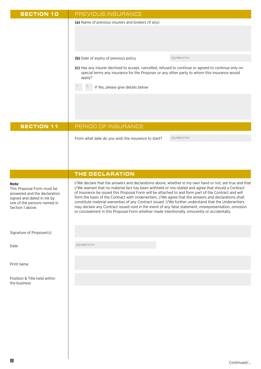| <b>SECTION 10</b>                                                                                                                                    | PREVIOUS INSURANCE                                                                                                                                                                                                                                                                                                                                                                                                                                                                                                                                                                                                                   |
|------------------------------------------------------------------------------------------------------------------------------------------------------|--------------------------------------------------------------------------------------------------------------------------------------------------------------------------------------------------------------------------------------------------------------------------------------------------------------------------------------------------------------------------------------------------------------------------------------------------------------------------------------------------------------------------------------------------------------------------------------------------------------------------------------|
|                                                                                                                                                      | (a) Name of previous insurers and brokers (if any)                                                                                                                                                                                                                                                                                                                                                                                                                                                                                                                                                                                   |
|                                                                                                                                                      |                                                                                                                                                                                                                                                                                                                                                                                                                                                                                                                                                                                                                                      |
|                                                                                                                                                      |                                                                                                                                                                                                                                                                                                                                                                                                                                                                                                                                                                                                                                      |
|                                                                                                                                                      |                                                                                                                                                                                                                                                                                                                                                                                                                                                                                                                                                                                                                                      |
|                                                                                                                                                      | DD/MM/YYYY<br>(b) Date of expiry of previous policy                                                                                                                                                                                                                                                                                                                                                                                                                                                                                                                                                                                  |
|                                                                                                                                                      | (c) Has any insurer declined to accept, cancelled, refused to continue or agreed to continue only on<br>special terms any insurance for the Proposer or any other party to whom this insurance would<br>apply?                                                                                                                                                                                                                                                                                                                                                                                                                       |
|                                                                                                                                                      | If Yes, please give details below                                                                                                                                                                                                                                                                                                                                                                                                                                                                                                                                                                                                    |
|                                                                                                                                                      |                                                                                                                                                                                                                                                                                                                                                                                                                                                                                                                                                                                                                                      |
|                                                                                                                                                      |                                                                                                                                                                                                                                                                                                                                                                                                                                                                                                                                                                                                                                      |
|                                                                                                                                                      |                                                                                                                                                                                                                                                                                                                                                                                                                                                                                                                                                                                                                                      |
| <b>SECTION 11</b>                                                                                                                                    | PERIOD OF INSURANCE                                                                                                                                                                                                                                                                                                                                                                                                                                                                                                                                                                                                                  |
|                                                                                                                                                      |                                                                                                                                                                                                                                                                                                                                                                                                                                                                                                                                                                                                                                      |
|                                                                                                                                                      | DD/MM/YYYY<br>From what date do you wish the insurance to start?                                                                                                                                                                                                                                                                                                                                                                                                                                                                                                                                                                     |
|                                                                                                                                                      |                                                                                                                                                                                                                                                                                                                                                                                                                                                                                                                                                                                                                                      |
|                                                                                                                                                      |                                                                                                                                                                                                                                                                                                                                                                                                                                                                                                                                                                                                                                      |
|                                                                                                                                                      | THE DECLARATION                                                                                                                                                                                                                                                                                                                                                                                                                                                                                                                                                                                                                      |
|                                                                                                                                                      | I/We declare that the answers and declarations above, whether in my own hand or not, are true and that                                                                                                                                                                                                                                                                                                                                                                                                                                                                                                                               |
| Note:<br>This Proposal Form must be<br>answered and the declaration<br>signed and dated in ink by<br>one of the persons named in<br>Section 1 above. | I/We warrant that no material fact has been withheld or mis-stated and agree that should a Contract<br>of Insurance be issued this Proposal Form will be attached to and form part of the Contract and will<br>form the basis of the Contract with Underwriters. I/We agree that the answers and declarations shall<br>constitute material warranties of any Contract issued. I/We further understand that the Underwriters<br>may declare any Contract issued void in the event of any false statement, misrepresentation, omission<br>or concealment in this Proposal Form whether made intentionally, innocently or accidentally. |
| Signature of Proposer(s)                                                                                                                             |                                                                                                                                                                                                                                                                                                                                                                                                                                                                                                                                                                                                                                      |
|                                                                                                                                                      |                                                                                                                                                                                                                                                                                                                                                                                                                                                                                                                                                                                                                                      |
| Date                                                                                                                                                 | DD/MM/YYYY                                                                                                                                                                                                                                                                                                                                                                                                                                                                                                                                                                                                                           |
|                                                                                                                                                      |                                                                                                                                                                                                                                                                                                                                                                                                                                                                                                                                                                                                                                      |
| Print name                                                                                                                                           |                                                                                                                                                                                                                                                                                                                                                                                                                                                                                                                                                                                                                                      |
| Position & Title held within                                                                                                                         |                                                                                                                                                                                                                                                                                                                                                                                                                                                                                                                                                                                                                                      |
| the business                                                                                                                                         |                                                                                                                                                                                                                                                                                                                                                                                                                                                                                                                                                                                                                                      |
|                                                                                                                                                      |                                                                                                                                                                                                                                                                                                                                                                                                                                                                                                                                                                                                                                      |
|                                                                                                                                                      |                                                                                                                                                                                                                                                                                                                                                                                                                                                                                                                                                                                                                                      |
|                                                                                                                                                      |                                                                                                                                                                                                                                                                                                                                                                                                                                                                                                                                                                                                                                      |
|                                                                                                                                                      |                                                                                                                                                                                                                                                                                                                                                                                                                                                                                                                                                                                                                                      |
|                                                                                                                                                      |                                                                                                                                                                                                                                                                                                                                                                                                                                                                                                                                                                                                                                      |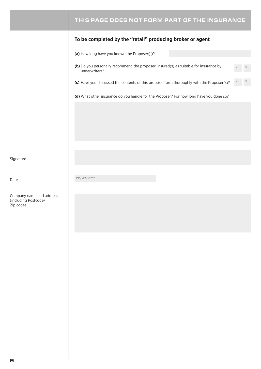### THIS PAGE DOES NOT FORM PART OF THE INSURANCE

#### **To be completed by the "retail" producing broker or agent**

**(a)** How long have you known the Proposer(s)?

**(b)** Do you personally recommend the proposed insured(s) as suitable for insurance by underwriters?

Y N

(c) Have you discussed the contents of this proposal form thoroughly with the Proposer(s)?

**(d)** What other insurance do you handle for the Proposer? For how long have you done so?

Signature

Company name and address (including Postcode/ Zip code)

Date DD/MM/YYYY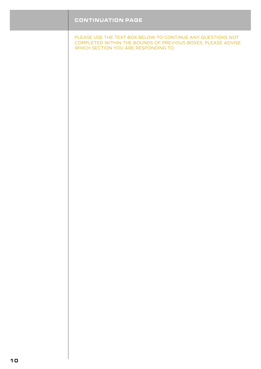| <b>CONTINUATION PAGE</b>                                                                                                                                            |
|---------------------------------------------------------------------------------------------------------------------------------------------------------------------|
| PLEASE USE THE TEXT BOX BELOW TO CONTINUE ANY QUESTIONS NOT<br>COMPLETED WITHIN THE BOUNDS OF PREVIOUS BOXES. PLEASE ADVISE<br>WHICH SECTION YOU ARE RESPONDING TO. |
|                                                                                                                                                                     |
|                                                                                                                                                                     |
|                                                                                                                                                                     |
|                                                                                                                                                                     |
|                                                                                                                                                                     |
|                                                                                                                                                                     |
|                                                                                                                                                                     |
|                                                                                                                                                                     |
|                                                                                                                                                                     |